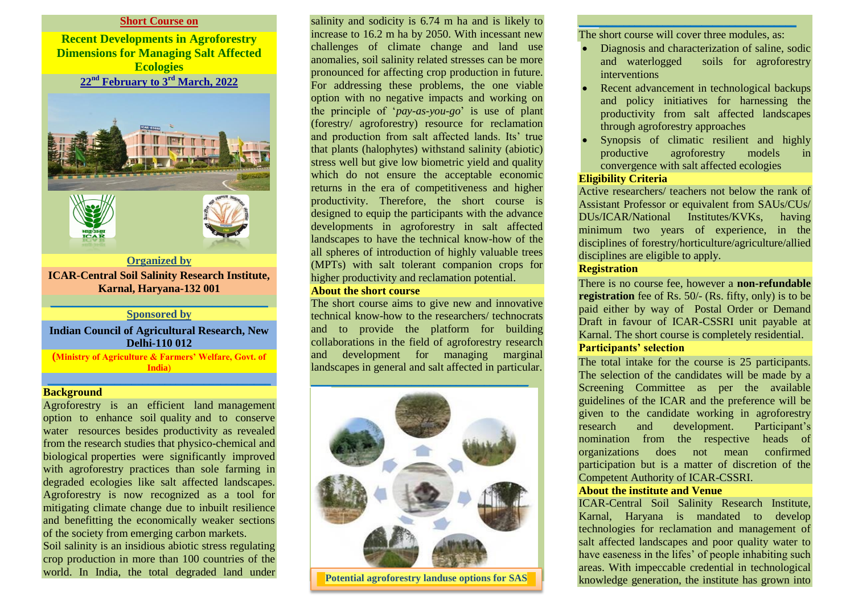#### **Short Course on**

**Recent Developments in Agroforestry Dimensions for Managing Salt Affected Ecologies 22nd February to 3rd March, 2022**



#### **\_\_\_\_\_\_\_\_\_\_\_\_\_\_\_\_\_\_\_\_\_\_\_\_\_\_\_\_\_\_\_\_\_\_\_\_\_\_\_ Sponsored by**

## **Indian Council of Agricultural Research, New Delhi-110 012**

**(Ministry of Agriculture & Farmers' Welfare, Govt. of India**) **\_\_\_\_\_\_\_\_\_\_\_\_\_\_\_\_\_\_\_\_\_\_\_\_\_\_\_\_\_\_\_\_\_\_\_\_\_\_\_\_**

#### **Background**

Agroforestry is an efficient land management option to enhance soil quality and to conserve water resources besides productivity as revealed from the research studies that physico-chemical and biological properties were significantly improved with agroforestry practices than sole farming in degraded ecologies like salt affected landscapes. Agroforestry is now recognized as a tool for mitigating climate change due to inbuilt resilience and benefitting the economically weaker sections of the society from emerging carbon markets.

Soil salinity is an insidious abiotic stress regulating crop production in more than 100 countries of the world. In India, the total degraded land under salinity and sodicity is 6.74 m ha and is likely to increase to 16.2 m ha by 2050. With incessant new challenges of climate change and land use anomalies, soil salinity related stresses can be more pronounced for affecting crop production in future. For addressing these problems, the one viable option with no negative impacts and working on the principle of '*pay-as-you-go*' is use of plant (forestry/ agroforestry) resource for reclamation and production from salt affected lands. Its' true that plants (halophytes) withstand salinity (abiotic) stress well but give low biometric yield and quality which do not ensure the acceptable economic returns in the era of competitiveness and higher productivity. Therefore, the short course is designed to equip the participants with the advance developments in agroforestry in salt affected landscapes to have the technical know-how of the all spheres of introduction of highly valuable trees (MPTs) with salt tolerant companion crops for higher productivity and reclamation potential.

#### **About the short course**

The short course aims to give new and innovative technical know-how to the researchers/ technocrats and to provide the platform for building collaborations in the field of agroforestry research and development for managing marginal landscapes in general and salt affected in particular.

**\_\_\_\_\_\_\_\_\_\_\_\_\_\_\_\_\_\_\_\_\_\_\_\_\_\_\_\_\_\_\_\_\_\_\_\_\_\_\_**



**landscapes**

## **\_\_\_\_\_\_\_\_\_\_\_\_\_\_\_\_\_\_\_\_\_\_\_\_\_\_\_\_\_\_\_\_\_\_\_\_\_\_\_** The short course will cover three modules, as:

- Diagnosis and characterization of saline, sodic and waterlogged soils for agroforestry interventions
- Recent advancement in technological backups and policy initiatives for harnessing the productivity from salt affected landscapes through agroforestry approaches
- Synopsis of climatic resilient and highly productive agroforestry models in convergence with salt affected ecologies

# **Eligibility Criteria**

Active researchers/ teachers not below the rank of Assistant Professor or equivalent from SAUs/CUs/ DUs/ICAR/National Institutes/KVKs, having minimum two years of experience, in the disciplines of forestry/horticulture/agriculture/allied disciplines are eligible to apply.

# **Registration**

There is no course fee, however a **non-refundable registration** fee of Rs. 50/- (Rs. fifty, only) is to be paid either by way of Postal Order or Demand Draft in favour of ICAR-CSSRI unit payable at Karnal. The short course is completely residential. **Participants' selection**

The total intake for the course is 25 participants. The selection of the candidates will be made by a Screening Committee as per the available guidelines of the ICAR and the preference will be given to the candidate working in agroforestry research and development. Participant's nomination from the respective heads of organizations does not mean confirmed participation but is a matter of discretion of the Competent Authority of ICAR-CSSRI.

## **About the institute and Venue**

ICAR-Central Soil Salinity Research Institute, Karnal, Haryana is mandated to develop technologies for reclamation and management of salt affected landscapes and poor quality water to have easeness in the lifes' of people inhabiting such areas. With impeccable credential in technological **Potential agroforestry landuse options for SAS**